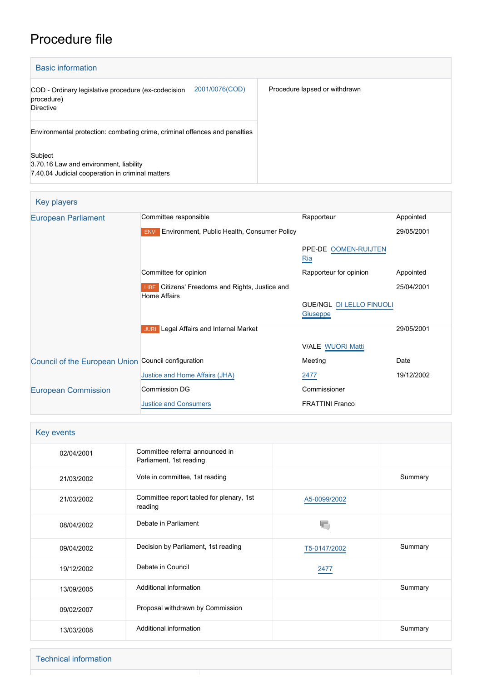# Procedure file

| <b>Basic information</b>                                                                              |                               |
|-------------------------------------------------------------------------------------------------------|-------------------------------|
| 2001/0076(COD)<br>COD - Ordinary legislative procedure (ex-codecision<br>procedure)<br>Directive      | Procedure lapsed or withdrawn |
| Environmental protection: combating crime, criminal offences and penalties                            |                               |
| Subject<br>3.70.16 Law and environment, liability<br>7.40.04 Judicial cooperation in criminal matters |                               |

| Key players                                         |                                                                        |                                             |            |
|-----------------------------------------------------|------------------------------------------------------------------------|---------------------------------------------|------------|
| <b>European Parliament</b>                          | Committee responsible                                                  | Rapporteur                                  | Appointed  |
|                                                     | <b>ENVI</b> Environment, Public Health, Consumer Policy                |                                             | 29/05/2001 |
|                                                     |                                                                        | PPE-DE OOMEN-RUIJTEN<br>Ria                 |            |
|                                                     | Committee for opinion                                                  | Rapporteur for opinion                      | Appointed  |
|                                                     | LIBE Citizens' Freedoms and Rights, Justice and<br><b>Home Affairs</b> |                                             | 25/04/2001 |
|                                                     |                                                                        | <b>GUE/NGL DI LELLO FINUOLI</b><br>Giuseppe |            |
|                                                     | <b>JURI</b> Legal Affairs and Internal Market                          |                                             | 29/05/2001 |
|                                                     |                                                                        | <b>V/ALE WUORI Matti</b>                    |            |
| Council of the European Union Council configuration |                                                                        | Meeting                                     | Date       |
|                                                     | Justice and Home Affairs (JHA)                                         | 2477                                        | 19/12/2002 |
| <b>European Commission</b>                          | <b>Commission DG</b>                                                   | Commissioner                                |            |
|                                                     | <b>Justice and Consumers</b>                                           | <b>FRATTINI Franco</b>                      |            |

| Key events |                                                            |              |         |  |  |
|------------|------------------------------------------------------------|--------------|---------|--|--|
| 02/04/2001 | Committee referral announced in<br>Parliament, 1st reading |              |         |  |  |
| 21/03/2002 | Vote in committee, 1st reading                             |              | Summary |  |  |
| 21/03/2002 | Committee report tabled for plenary, 1st<br>reading        | A5-0099/2002 |         |  |  |
| 08/04/2002 | Debate in Parliament                                       |              |         |  |  |
| 09/04/2002 | Decision by Parliament, 1st reading                        | T5-0147/2002 | Summary |  |  |
| 19/12/2002 | Debate in Council                                          | 2477         |         |  |  |
| 13/09/2005 | Additional information                                     |              | Summary |  |  |
| 09/02/2007 | Proposal withdrawn by Commission                           |              |         |  |  |
| 13/03/2008 | Additional information                                     |              | Summary |  |  |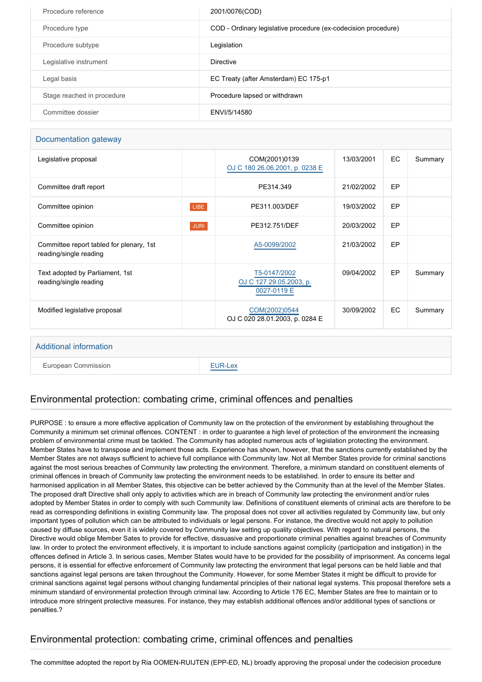| Procedure reference        | 2001/0076(COD)                                                 |
|----------------------------|----------------------------------------------------------------|
| Procedure type             | COD - Ordinary legislative procedure (ex-codecision procedure) |
| Procedure subtype          | Legislation                                                    |
| Legislative instrument     | <b>Directive</b>                                               |
| Legal basis                | EC Treaty (after Amsterdam) EC 175-p1                          |
| Stage reached in procedure | Procedure lapsed or withdrawn                                  |
| Committee dossier          | ENVI/5/14580                                                   |

#### Documentation gateway

|             | COM(2001)0139<br>OJ C 180 26.06.2001, p. 0238 E        | 13/03/2001 | EC | Summary |
|-------------|--------------------------------------------------------|------------|----|---------|
|             | PE314.349                                              | 21/02/2002 | EP |         |
| LIBE        | PE311.003/DEF                                          | 19/03/2002 | EP |         |
| <b>JURI</b> | PE312.751/DEF                                          | 20/03/2002 | EP |         |
|             | A5-0099/2002                                           | 21/03/2002 | EP |         |
|             | T5-0147/2002<br>OJ C 127 29.05.2003, p.<br>0027-0119 E | 09/04/2002 | EP | Summary |
|             | COM(2002)0544<br>OJ C 020 28.01.2003, p. 0284 E        | 30/09/2002 | EC | Summary |
|             |                                                        |            |    |         |

#### Additional information

European Commission **[EUR-Lex](http://ec.europa.eu/prelex/liste_resultats.cfm?CL=en&ReqId=0&DocType=COD&DocYear=2001&DocNum=0076)** 

## Environmental protection: combating crime, criminal offences and penalties

PURPOSE : to ensure a more effective application of Community law on the protection of the environment by establishing throughout the Community a minimum set criminal offences. CONTENT : in order to guarantee a high level of protection of the environment the increasing problem of environmental crime must be tackled. The Community has adopted numerous acts of legislation protecting the environment. Member States have to transpose and implement those acts. Experience has shown, however, that the sanctions currently established by the Member States are not always sufficient to achieve full compliance with Community law. Not all Member States provide for criminal sanctions against the most serious breaches of Community law protecting the environment. Therefore, a minimum standard on constituent elements of criminal offences in breach of Community law protecting the environment needs to be established. In order to ensure its better and harmonised application in all Member States, this objective can be better achieved by the Community than at the level of the Member States. The proposed draft Directive shall only apply to activities which are in breach of Community law protecting the environment and/or rules adopted by Member States in order to comply with such Community law. Definitions of constituent elements of criminal acts are therefore to be read as corresponding definitions in existing Community law. The proposal does not cover all activities regulated by Community law, but only important types of pollution which can be attributed to individuals or legal persons. For instance, the directive would not apply to pollution caused by diffuse sources, even it is widely covered by Community law setting up quality objectives. With regard to natural persons, the Directive would oblige Member Sates to provide for effective, dissuasive and proportionate criminal penalties against breaches of Community law. In order to protect the environment effectively, it is important to include sanctions against complicity (participation and instigation) in the offences defined in Article 3. In serious cases, Member States would have to be provided for the possibility of imprisonment. As concerns legal persons, it is essential for effective enforcement of Community law protecting the environment that legal persons can be held liable and that sanctions against legal persons are taken throughout the Community. However, for some Member States it might be difficult to provide for criminal sanctions against legal persons without changing fundamental principles of their national legal systems. This proposal therefore sets a minimum standard of environmental protection through criminal law. According to Article 176 EC, Member States are free to maintain or to introduce more stringent protective measures. For instance, they may establish additional offences and/or additional types of sanctions or penalties.?

# Environmental protection: combating crime, criminal offences and penalties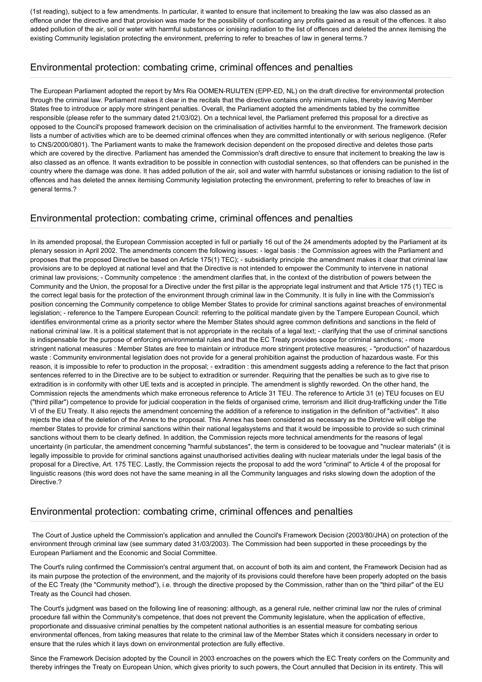(1st reading), subject to a few amendments. In particular, it wanted to ensure that incitement to breaking the law was also classed as an offence under the directive and that provision was made for the possibility of confiscating any profits gained as a result of the offences. It also added pollution of the air, soil or water with harmful substances or ionising radiation to the list of offences and deleted the annex itemising the existing Community legislation protecting the environment, preferring to refer to breaches of law in general terms.?

#### Environmental protection: combating crime, criminal offences and penalties

The European Parliament adopted the report by Mrs Ria OOMEN-RUIJTEN (EPP-ED, NL) on the draft directive for environmental protection through the criminal law. Parliament makes it clear in the recitals that the directive contains only minimum rules, thereby leaving Member States free to introduce or apply more stringent penalties. Overall, the Parliament adopted the amendments tabled by the committee responsible (please refer to the summary dated 21/03/02). On a technical level, the Parliament preferred this proposal for a directive as opposed to the Council's proposed framework decision on the criminalisation of activities harmful to the environment. The framework decision lists a number of activities which are to be deemed criminal offences when they are committed intentionally or with serious negligence. (Refer to CNS/2000/0801). The Parliament wants to make the framework decision dependent on the proposed directive and deletes those parts which are covered by the directive. Parliament has amended the Commission's draft directive to ensure that incitement to breaking the law is also classed as an offence. It wants extradition to be possible in connection with custodial sentences, so that offenders can be punished in the country where the damage was done. It has added pollution of the air, soil and water with harmful substances or ionising radiation to the list of offences and has deleted the annex itemising Community legislation protecting the environment, preferring to refer to breaches of law in general terms.?

# Environmental protection: combating crime, criminal offences and penalties

In its amended proposal, the European Commission accepted in full or partially 16 out of the 24 amendments adopted by the Parliament at its plenary session in April 2002. The amendments concern the following issues: - legal basis : the Commission agrees with the Parliament and proposes that the proposed Directive be based on Article 175(1) TEC); - subsidiarity principle :the amendment makes it clear that criminal law provisions are to be deployed at national level and that the Directive is not intended to empower the Community to intervene in national criminal law provisions; - Community competence : the amendment clarifies that, in the context of the distribution of powers between the Community and the Union, the proposal for a Directive under the first pillar is the appropriate legal instrument and that Article 175 (1) TEC is the correct legal basis for the protection of the environment through criminal law in the Community. It is fully in line with the Commission's position concerning the Community competence to oblige Member States to provide for criminal sanctions against breaches of environmental legislation; - reference to the Tampere European Council: referring to the political mandate given by the Tampere European Council, which identifies environmental crime as a priority sector where the Member States should agree common definitions and sanctions in the field of national criminal law. It is a political statement that is not appropriate in the recitals of a legal text; - clarifying that the use of criminal sanctions is indispensable for the purpose of enforcing environmental rules and that the EC Treaty provides scope for criminal sanctions; - more stringent national measures : Member States are free to maintain or introduce more stringent protective measures; - "production" of hazardous waste : Community environmental legislation does not provide for a general prohibition against the production of hazardous waste. For this reason, it is impossible to refer to production in the proposal; - extradition : this amendment suggests adding a reference to the fact that prison sentences referred to in the Directive are to be subject to extradition or surrender. Requiring that the penalties be such as to give rise to extradition is in conformity with other UE texts and is accepted in principle. The amendment is slightly reworded. On the other hand, the Commission rejects the amendments which make erroneous reference to Article 31 TEU. The reference to Article 31 (e) TEU focuses on EU ("third pillar") competence to provide for judicial cooperation in the fields of organised crime, terrorism and illicit drug-trafficking under the Title VI of the EU Treaty. It also rejects the amendment concerning the addition of a reference to instigation in the definition of "activities". It also rejects the idea of the deletion of the Annex to the proposal. This Annex has been considered as necessary as the Diretcive will oblige the member States to provide for criminal sanctions within their national legalsystems and that it would be impossible to provide so such criminal sanctions without them to be clearly defined. In addition, the Commission rejects more technical amendments for the reasons of legal uncertainty (in particular, the amendment concerning "harmful substances", the term is considered to be toovague and "nuclear materials" (it is legally impossible to provide for criminal sanctions against unauthorised activities dealing with nuclear materials under the legal basis of the proposal for a Directive, Art. 175 TEC. Lastly, the Commission rejects the proposal to add the word "criminal" to Article 4 of the proposal for linguistic reasons (this word does not have the same meaning in all the Community languages and risks slowing down the adoption of the Directive.?

## Environmental protection: combating crime, criminal offences and penalties

 The Court of Justice upheld the Commission's application and annulled the Council's Framework Decision (2003/80/JHA) on protection of the environment through criminal law (see summary dated 31/03/2003). The Commission had been supported in these proceedings by the European Parliament and the Economic and Social Committee.

The Court's ruling confirmed the Commission's central argument that, on account of both its aim and content, the Framework Decision had as its main purpose the protection of the environment, and the majority of its provisions could therefore have been properly adopted on the basis of the EC Treaty (the "Community method"), i.e. through the directive proposed by the Commission, rather than on the "third pillar" of the EU Treaty as the Council had chosen.

The Court's judgment was based on the following line of reasoning: although, as a general rule, neither criminal law nor the rules of criminal procedure fall within the Community's competence, that does not prevent the Community legislature, when the application of effective, proportionate and dissuasive criminal penalties by the competent national authorities is an essential measure for combating serious environmental offences, from taking measures that relate to the criminal law of the Member States which it considers necessary in order to ensure that the rules which it lays down on environmental protection are fully effective.

Since the Framework Decision adopted by the Council in 2003 encroaches on the powers which the EC Treaty confers on the Community and thereby infringes the Treaty on European Union, which gives priority to such powers, the Court annulled that Decision in its entirety. This will